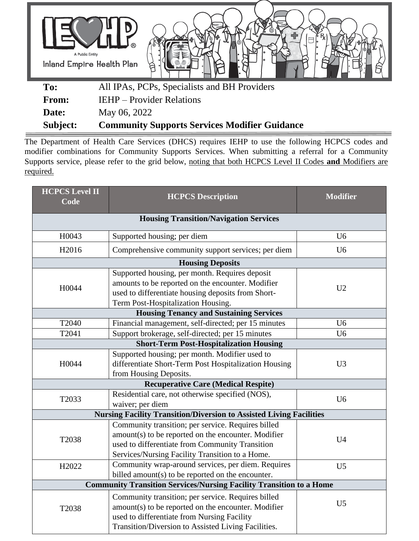

**Subject: Community Supports Services Modifier Guidance**

The Department of Health Care Services (DHCS) requires IEHP to use the following HCPCS codes and modifier combinations for Community Supports Services. When submitting a referral for a Community Supports service, please refer to the grid below, noting that both HCPCS Level II Codes **and** Modifiers are required.

| <b>HCPCS Level II</b><br>Code                 | <b>HCPCS Description</b>                                                                                                                                                                                        | <b>Modifier</b> |  |  |  |
|-----------------------------------------------|-----------------------------------------------------------------------------------------------------------------------------------------------------------------------------------------------------------------|-----------------|--|--|--|
| <b>Housing Transition/Navigation Services</b> |                                                                                                                                                                                                                 |                 |  |  |  |
| H0043                                         | Supported housing; per diem                                                                                                                                                                                     | U <sub>6</sub>  |  |  |  |
| H2016                                         | Comprehensive community support services; per diem                                                                                                                                                              | U <sub>6</sub>  |  |  |  |
|                                               | <b>Housing Deposits</b>                                                                                                                                                                                         |                 |  |  |  |
| H0044                                         | Supported housing, per month. Requires deposit<br>amounts to be reported on the encounter. Modifier<br>used to differentiate housing deposits from Short-<br>Term Post-Hospitalization Housing.                 | U <sub>2</sub>  |  |  |  |
|                                               | <b>Housing Tenancy and Sustaining Services</b>                                                                                                                                                                  |                 |  |  |  |
| T2040                                         | Financial management, self-directed; per 15 minutes                                                                                                                                                             | U <sub>6</sub>  |  |  |  |
| T2041                                         | Support brokerage, self-directed; per 15 minutes                                                                                                                                                                | U <sub>6</sub>  |  |  |  |
|                                               | <b>Short-Term Post-Hospitalization Housing</b>                                                                                                                                                                  |                 |  |  |  |
| H0044                                         | Supported housing; per month. Modifier used to<br>differentiate Short-Term Post Hospitalization Housing<br>from Housing Deposits.                                                                               | U <sub>3</sub>  |  |  |  |
|                                               | <b>Recuperative Care (Medical Respite)</b>                                                                                                                                                                      |                 |  |  |  |
| T2033                                         | Residential care, not otherwise specified (NOS),<br>waiver; per diem                                                                                                                                            | U <sub>6</sub>  |  |  |  |
|                                               | <b>Nursing Facility Transition/Diversion to Assisted Living Facilities</b>                                                                                                                                      |                 |  |  |  |
| T2038                                         | Community transition; per service. Requires billed<br>amount(s) to be reported on the encounter. Modifier<br>used to differentiate from Community Transition<br>Services/Nursing Facility Transition to a Home. | U <sub>4</sub>  |  |  |  |
| H2022                                         | Community wrap-around services, per diem. Requires<br>billed amount(s) to be reported on the encounter.                                                                                                         | U <sub>5</sub>  |  |  |  |
|                                               | <b>Community Transition Services/Nursing Facility Transition to a Home</b>                                                                                                                                      |                 |  |  |  |
| T2038                                         | Community transition; per service. Requires billed<br>amount(s) to be reported on the encounter. Modifier<br>used to differentiate from Nursing Facility                                                        | U <sub>5</sub>  |  |  |  |
|                                               | Transition/Diversion to Assisted Living Facilities.                                                                                                                                                             |                 |  |  |  |